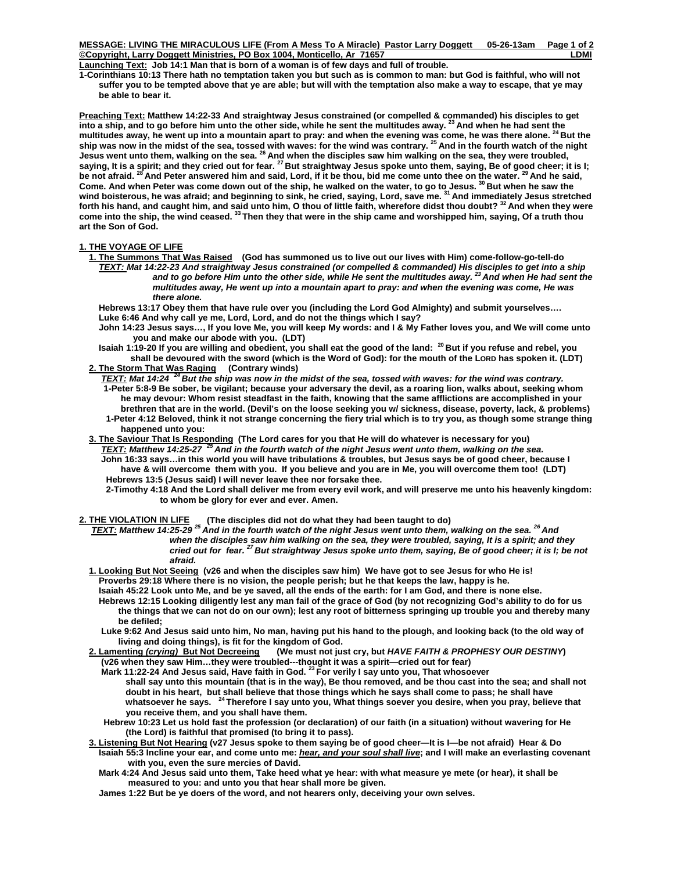**MESSAGE: LIVING THE MIRACULOUS LIFE (From A Mess To A Miracle) Pastor Larry Doggett 05-26-13am Page 1 of 2 Copyright, Larry Doggett Ministries, PO Box 1004, Monticello, Ar 71657 LDMI** 

Launching Text: Job 14:1 Man that is born of a woman is of few days and full of trouble.

**1-Corinthians 10:13 There hath no temptation taken you but such as is common to man: but God is faithful, who will not suffer you to be tempted above that ye are able; but will with the temptation also make a way to escape, that ye may be able to bear it.** 

**Preaching Text: Matthew 14:22-33 And straightway Jesus constrained (or compelled & commanded) his disciples to get into a ship, and to go before him unto the other side, while he sent the multitudes away. 23 And when he had sent the**  multitudes away, he went up into a mountain apart to pray: and when the evening was come, he was there alone. <sup>24</sup> But the **ship was now in the midst of the sea, tossed with waves: for the wind was contrary. 25 And in the fourth watch of the night Jesus went unto them, walking on the sea. 26 And when the disciples saw him walking on the sea, they were troubled, saying, It is a spirit; and they cried out for fear. 27 But straightway Jesus spoke unto them, saying, Be of good cheer; it is I; be not afraid. 28 And Peter answered him and said, Lord, if it be thou, bid me come unto thee on the water. 29 And he said, Come. And when Peter was come down out of the ship, he walked on the water, to go to Jesus. 30 But when he saw the wind boisterous, he was afraid; and beginning to sink, he cried, saying, Lord, save me. 31 And immediately Jesus stretched forth his hand, and caught him, and said unto him, O thou of little faith, wherefore didst thou doubt? 32 And when they were come into the ship, the wind ceased. 33 Then they that were in the ship came and worshipped him, saying, Of a truth thou art the Son of God.** 

## **1. THE VOYAGE OF LIFE**

 **1. The Summons That Was Raised (God has summoned us to live out our lives with Him) come-follow-go-tell-do** *TEXT: Mat 14:22-23 And straightway Jesus constrained (or compelled & commanded) His disciples to get into a ship*  and to go before Him unto the other side, while He sent the multitudes away.<sup>23</sup> And when He had sent the  *multitudes away, He went up into a mountain apart to pray: and when the evening was come, He was there alone.* 

 **Hebrews 13:17 Obey them that have rule over you (including the Lord God Almighty) and submit yourselves…. Luke 6:46 And why call ye me, Lord, Lord, and do not the things which I say?** 

- **John 14:23 Jesus says…, If you love Me, you will keep My words: and I & My Father loves you, and We will come unto you and make our abode with you. (LDT)**
- **Isaiah 1:19-20 If you are willing and obedient, you shall eat the good of the land: 20 But if you refuse and rebel, you shall be devoured with the sword (which is the Word of God): for the mouth of the LORD has spoken it. (LDT) 2. The Storm That Was Raging (Contrary winds)**
- *TEXT: Mat 14:24**24 But the ship was now in the midst of the sea, tossed with waves: for the wind was contrary.* **1-Peter 5:8-9 Be sober, be vigilant; because your adversary the devil, as a roaring lion, walks about, seeking whom he may devour: Whom resist steadfast in the faith, knowing that the same afflictions are accomplished in your brethren that are in the world. (Devil's on the loose seeking you w/ sickness, disease, poverty, lack, & problems) 1-Peter 4:12 Beloved, think it not strange concerning the fiery trial which is to try you, as though some strange thing happened unto you:**
- **3. The Saviour That Is Responding (The Lord cares for you that He will do whatever is necessary for you)** *TEXT: Matthew 14:25-27 25 And in the fourth watch of the night Jesus went unto them, walking on the sea.*   **John 16:33 says…in this world you will have tribulations & troubles, but Jesus says be of good cheer, because I have & will overcome them with you. If you believe and you are in Me, you will overcome them too! (LDT) Hebrews 13:5 (Jesus said) I will never leave thee nor forsake thee.** 
	- **2-Timothy 4:18 And the Lord shall deliver me from every evil work, and will preserve me unto his heavenly kingdom: to whom be glory for ever and ever. Amen.**

**2. THE VIOLATION IN LIFE (The disciples did not do what they had been taught to do)** 

*TEXT: Matthew 14:25-29 25 And in the fourth watch of the night Jesus went unto them, walking on the sea. 26 And when the disciples saw him walking on the sea, they were troubled, saying, It is a spirit; and they cried out for fear. 27 But straightway Jesus spoke unto them, saying, Be of good cheer; it is I; be not afraid.* 

- **1. Looking But Not Seeing (v26 and when the disciples saw him) We have got to see Jesus for who He is! Proverbs 29:18 Where there is no vision, the people perish; but he that keeps the law, happy is he.** 
	- **Isaiah 45:22 Look unto Me, and be ye saved, all the ends of the earth: for I am God, and there is none else. Hebrews 12:15 Looking diligently lest any man fail of the grace of God (by not recognizing God's ability to do for us**
	- **the things that we can not do on our own); lest any root of bitterness springing up trouble you and thereby many be defiled;**
	- **Luke 9:62 And Jesus said unto him, No man, having put his hand to the plough, and looking back (to the old way of living and doing things), is fit for the kingdom of God.**

 **2. Lamenting** *(crying)* **But Not Decreeing (We must not just cry, but** *HAVE FAITH & PROPHESY OUR DESTINY***) (v26 when they saw Him…they were troubled---thought it was a spirit—cried out for fear)** 

 **Mark 11:22-24 And Jesus said, Have faith in God. 23 For verily I say unto you, That whosoever** 

 **shall say unto this mountain (that is in the way), Be thou removed, and be thou cast into the sea; and shall not**  doubt in his heart, but shall believe that those things which he says shall come to pass; he shall have<br>whatsoever he says. <sup>24</sup> Therefore I say unto you, What things soever you desire, when you pray, believe that  **you receive them, and you shall have them.** 

- **Hebrew 10:23 Let us hold fast the profession (or declaration) of our faith (in a situation) without wavering for He (the Lord) is faithful that promised (to bring it to pass).**
- **3. Listening But Not Hearing (v27 Jesus spoke to them saying be of good cheer—It is I—be not afraid) Hear & Do Isaiah 55:3 Incline your ear, and come unto me:** *hear, and your soul shall live***; and I will make an everlasting covenant with you, even the sure mercies of David.** 
	- **Mark 4:24 And Jesus said unto them, Take heed what ye hear: with what measure ye mete (or hear), it shall be measured to you: and unto you that hear shall more be given.**
	- **James 1:22 But be ye doers of the word, and not hearers only, deceiving your own selves.**